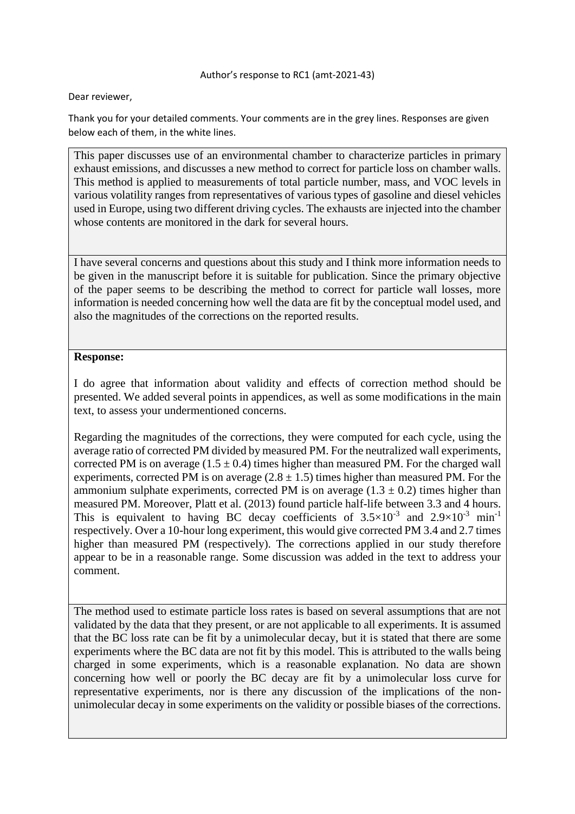#### Author's response to RC1 (amt-2021-43)

Dear reviewer,

Thank you for your detailed comments. Your comments are in the grey lines. Responses are given below each of them, in the white lines.

This paper discusses use of an environmental chamber to characterize particles in primary exhaust emissions, and discusses a new method to correct for particle loss on chamber walls. This method is applied to measurements of total particle number, mass, and VOC levels in various volatility ranges from representatives of various types of gasoline and diesel vehicles used in Europe, using two different driving cycles. The exhausts are injected into the chamber whose contents are monitored in the dark for several hours.

I have several concerns and questions about this study and I think more information needs to be given in the manuscript before it is suitable for publication. Since the primary objective of the paper seems to be describing the method to correct for particle wall losses, more information is needed concerning how well the data are fit by the conceptual model used, and also the magnitudes of the corrections on the reported results.

### **Response:**

I do agree that information about validity and effects of correction method should be presented. We added several points in appendices, as well as some modifications in the main text, to assess your undermentioned concerns.

Regarding the magnitudes of the corrections, they were computed for each cycle, using the average ratio of corrected PM divided by measured PM. For the neutralized wall experiments, corrected PM is on average  $(1.5 \pm 0.4)$  times higher than measured PM. For the charged wall experiments, corrected PM is on average  $(2.8 \pm 1.5)$  times higher than measured PM. For the ammonium sulphate experiments, corrected PM is on average  $(1.3 \pm 0.2)$  times higher than measured PM. Moreover, Platt et al. (2013) found particle half-life between 3.3 and 4 hours. This is equivalent to having BC decay coefficients of  $3.5 \times 10^{-3}$  and  $2.9 \times 10^{-3}$  min<sup>-1</sup> respectively. Over a 10-hour long experiment, this would give corrected PM 3.4 and 2.7 times higher than measured PM (respectively). The corrections applied in our study therefore appear to be in a reasonable range. Some discussion was added in the text to address your comment.

The method used to estimate particle loss rates is based on several assumptions that are not validated by the data that they present, or are not applicable to all experiments. It is assumed that the BC loss rate can be fit by a unimolecular decay, but it is stated that there are some experiments where the BC data are not fit by this model. This is attributed to the walls being charged in some experiments, which is a reasonable explanation. No data are shown concerning how well or poorly the BC decay are fit by a unimolecular loss curve for representative experiments, nor is there any discussion of the implications of the nonunimolecular decay in some experiments on the validity or possible biases of the corrections.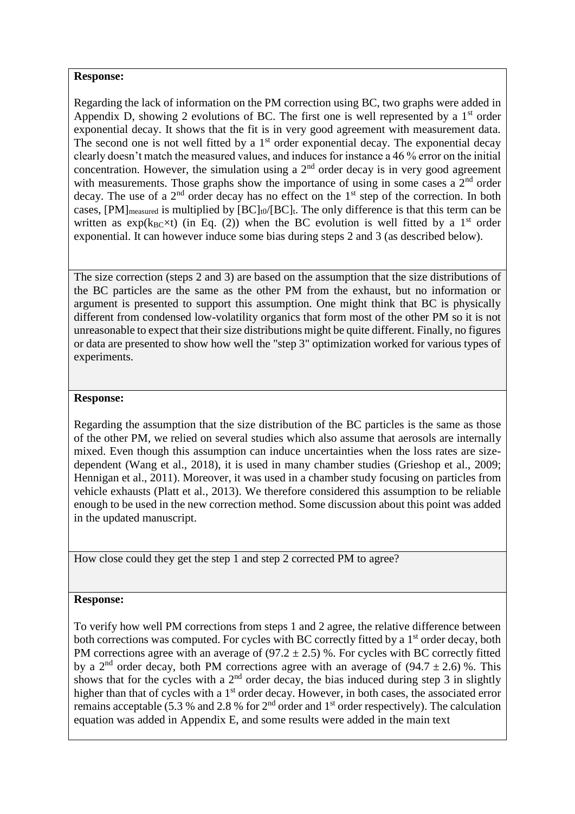### **Response:**

Regarding the lack of information on the PM correction using BC, two graphs were added in Appendix D, showing 2 evolutions of BC. The first one is well represented by a  $1<sup>st</sup>$  order exponential decay. It shows that the fit is in very good agreement with measurement data. The second one is not well fitted by a  $1<sup>st</sup>$  order exponential decay. The exponential decay clearly doesn't match the measured values, and induces for instance a 46 % error on the initial concentration. However, the simulation using a  $2<sup>nd</sup>$  order decay is in very good agreement with measurements. Those graphs show the importance of using in some cases a  $2<sup>nd</sup>$  order decay. The use of a  $2<sup>nd</sup>$  order decay has no effect on the  $1<sup>st</sup>$  step of the correction. In both cases,  $[PM]_{measured}$  is multiplied by  $[BC]_0/[BC]_t$ . The only difference is that this term can be written as  $exp(k_{BC} \times t)$  (in Eq. (2)) when the BC evolution is well fitted by a 1<sup>st</sup> order exponential. It can however induce some bias during steps 2 and 3 (as described below).

The size correction (steps 2 and 3) are based on the assumption that the size distributions of the BC particles are the same as the other PM from the exhaust, but no information or argument is presented to support this assumption. One might think that BC is physically different from condensed low-volatility organics that form most of the other PM so it is not unreasonable to expect that their size distributions might be quite different. Finally, no figures or data are presented to show how well the "step 3" optimization worked for various types of experiments.

# **Response:**

Regarding the assumption that the size distribution of the BC particles is the same as those of the other PM, we relied on several studies which also assume that aerosols are internally mixed. Even though this assumption can induce uncertainties when the loss rates are sizedependent (Wang et al., 2018), it is used in many chamber studies (Grieshop et al., 2009; Hennigan et al., 2011). Moreover, it was used in a chamber study focusing on particles from vehicle exhausts (Platt et al., 2013). We therefore considered this assumption to be reliable enough to be used in the new correction method. Some discussion about this point was added in the updated manuscript.

How close could they get the step 1 and step 2 corrected PM to agree?

### **Response:**

To verify how well PM corrections from steps 1 and 2 agree, the relative difference between both corrections was computed. For cycles with BC correctly fitted by a 1<sup>st</sup> order decay, both PM corrections agree with an average of  $(97.2 \pm 2.5)$  %. For cycles with BC correctly fitted by a 2<sup>nd</sup> order decay, both PM corrections agree with an average of  $(94.7 \pm 2.6)$ %. This shows that for the cycles with a  $2<sup>nd</sup>$  order decay, the bias induced during step 3 in slightly higher than that of cycles with a 1<sup>st</sup> order decay. However, in both cases, the associated error remains acceptable (5.3 % and 2.8 % for  $2<sup>nd</sup>$  order and 1<sup>st</sup> order respectively). The calculation equation was added in Appendix E, and some results were added in the main text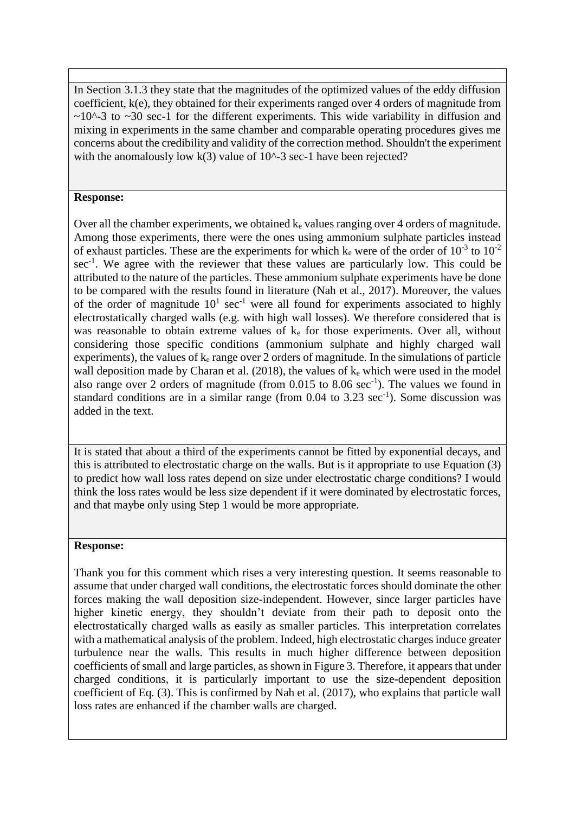In Section 3.1.3 they state that the magnitudes of the optimized values of the eddy diffusion coefficient, k(e), they obtained for their experiments ranged over 4 orders of magnitude from  $\sim$ 10^-3 to  $\sim$ 30 sec-1 for the different experiments. This wide variability in diffusion and mixing in experiments in the same chamber and comparable operating procedures gives me concerns about the credibility and validity of the correction method. Shouldn't the experiment with the anomalously low  $k(3)$  value of 10^-3 sec-1 have been rejected?

# **Response:**

Over all the chamber experiments, we obtained ke values ranging over 4 orders of magnitude. Among those experiments, there were the ones using ammonium sulphate particles instead of exhaust particles. These are the experiments for which  $k_e$  were of the order of  $10^{-3}$  to  $10^{-2}$ sec<sup>-1</sup>. We agree with the reviewer that these values are particularly low. This could be attributed to the nature of the particles. These ammonium sulphate experiments have be done to be compared with the results found in literature (Nah et al., 2017). Moreover, the values of the order of magnitude  $10<sup>1</sup>$  sec<sup>-1</sup> were all found for experiments associated to highly electrostatically charged walls (e.g. with high wall losses). We therefore considered that is was reasonable to obtain extreme values of k<sup>e</sup> for those experiments. Over all, without considering those specific conditions (ammonium sulphate and highly charged wall experiments), the values of  $k<sub>e</sub>$  range over 2 orders of magnitude. In the simulations of particle wall deposition made by Charan et al. (2018), the values of k<sup>e</sup> which were used in the model also range over 2 orders of magnitude (from  $0.015$  to  $8.06$  sec<sup>-1</sup>). The values we found in standard conditions are in a similar range (from  $0.04$  to  $3.23$  sec<sup>-1</sup>). Some discussion was added in the text.

It is stated that about a third of the experiments cannot be fitted by exponential decays, and this is attributed to electrostatic charge on the walls. But is it appropriate to use Equation (3) to predict how wall loss rates depend on size under electrostatic charge conditions? I would think the loss rates would be less size dependent if it were dominated by electrostatic forces, and that maybe only using Step 1 would be more appropriate.

### **Response:**

Thank you for this comment which rises a very interesting question. It seems reasonable to assume that under charged wall conditions, the electrostatic forces should dominate the other forces making the wall deposition size-independent. However, since larger particles have higher kinetic energy, they shouldn't deviate from their path to deposit onto the electrostatically charged walls as easily as smaller particles. This interpretation correlates with a mathematical analysis of the problem. Indeed, high electrostatic charges induce greater turbulence near the walls. This results in much higher difference between deposition coefficients of small and large particles, as shown in Figure 3. Therefore, it appears that under charged conditions, it is particularly important to use the size-dependent deposition coefficient of Eq. (3). This is confirmed by Nah et al. (2017), who explains that particle wall loss rates are enhanced if the chamber walls are charged.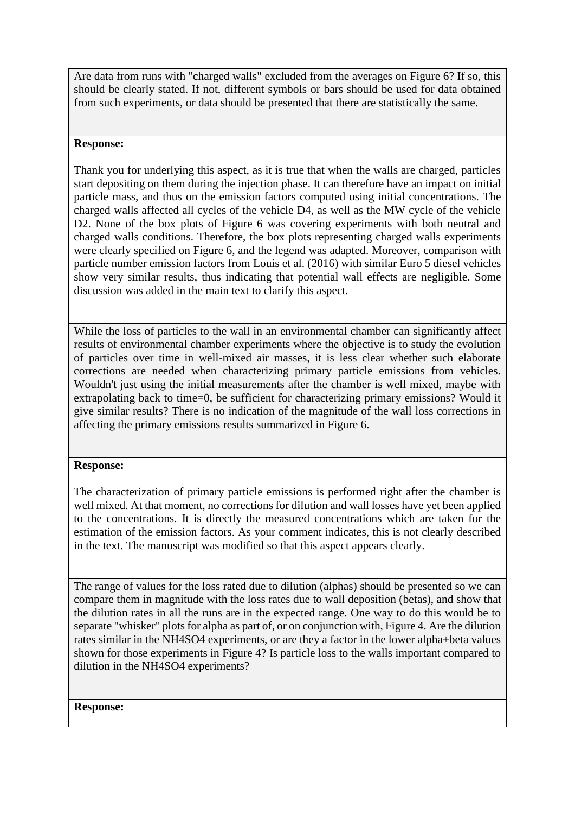Are data from runs with "charged walls" excluded from the averages on Figure 6? If so, this should be clearly stated. If not, different symbols or bars should be used for data obtained from such experiments, or data should be presented that there are statistically the same.

# **Response:**

Thank you for underlying this aspect, as it is true that when the walls are charged, particles start depositing on them during the injection phase. It can therefore have an impact on initial particle mass, and thus on the emission factors computed using initial concentrations. The charged walls affected all cycles of the vehicle D4, as well as the MW cycle of the vehicle D2. None of the box plots of Figure 6 was covering experiments with both neutral and charged walls conditions. Therefore, the box plots representing charged walls experiments were clearly specified on Figure 6, and the legend was adapted. Moreover, comparison with particle number emission factors from Louis et al. (2016) with similar Euro 5 diesel vehicles show very similar results, thus indicating that potential wall effects are negligible. Some discussion was added in the main text to clarify this aspect.

While the loss of particles to the wall in an environmental chamber can significantly affect results of environmental chamber experiments where the objective is to study the evolution of particles over time in well-mixed air masses, it is less clear whether such elaborate corrections are needed when characterizing primary particle emissions from vehicles. Wouldn't just using the initial measurements after the chamber is well mixed, maybe with extrapolating back to time=0, be sufficient for characterizing primary emissions? Would it give similar results? There is no indication of the magnitude of the wall loss corrections in affecting the primary emissions results summarized in Figure 6.

# **Response:**

The characterization of primary particle emissions is performed right after the chamber is well mixed. At that moment, no corrections for dilution and wall losses have yet been applied to the concentrations. It is directly the measured concentrations which are taken for the estimation of the emission factors. As your comment indicates, this is not clearly described in the text. The manuscript was modified so that this aspect appears clearly.

The range of values for the loss rated due to dilution (alphas) should be presented so we can compare them in magnitude with the loss rates due to wall deposition (betas), and show that the dilution rates in all the runs are in the expected range. One way to do this would be to separate "whisker" plots for alpha as part of, or on conjunction with, Figure 4. Are the dilution rates similar in the NH4SO4 experiments, or are they a factor in the lower alpha+beta values shown for those experiments in Figure 4? Is particle loss to the walls important compared to dilution in the NH4SO4 experiments?

### **Response:**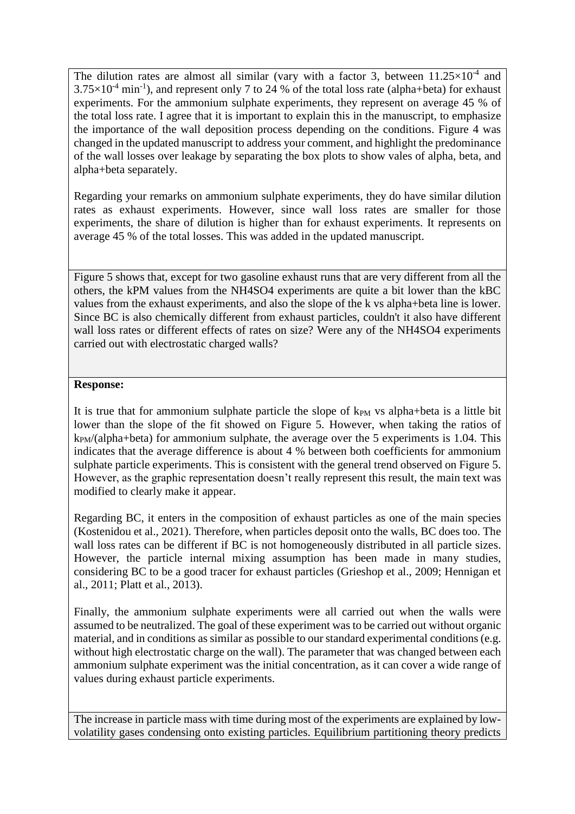The dilution rates are almost all similar (vary with a factor 3, between  $11.25\times10^{-4}$  and  $3.75\times10^{-4}$  min<sup>-1</sup>), and represent only 7 to 24 % of the total loss rate (alpha+beta) for exhaust experiments. For the ammonium sulphate experiments, they represent on average 45 % of the total loss rate. I agree that it is important to explain this in the manuscript, to emphasize the importance of the wall deposition process depending on the conditions. Figure 4 was changed in the updated manuscript to address your comment, and highlight the predominance of the wall losses over leakage by separating the box plots to show vales of alpha, beta, and alpha+beta separately.

Regarding your remarks on ammonium sulphate experiments, they do have similar dilution rates as exhaust experiments. However, since wall loss rates are smaller for those experiments, the share of dilution is higher than for exhaust experiments. It represents on average 45 % of the total losses. This was added in the updated manuscript.

Figure 5 shows that, except for two gasoline exhaust runs that are very different from all the others, the kPM values from the NH4SO4 experiments are quite a bit lower than the kBC values from the exhaust experiments, and also the slope of the k vs alpha+beta line is lower. Since BC is also chemically different from exhaust particles, couldn't it also have different wall loss rates or different effects of rates on size? Were any of the NH4SO4 experiments carried out with electrostatic charged walls?

### **Response:**

It is true that for ammonium sulphate particle the slope of  $k_{PM}$  vs alpha+beta is a little bit lower than the slope of the fit showed on Figure 5. However, when taking the ratios of kPM/(alpha+beta) for ammonium sulphate, the average over the 5 experiments is 1.04. This indicates that the average difference is about 4 % between both coefficients for ammonium sulphate particle experiments. This is consistent with the general trend observed on Figure 5. However, as the graphic representation doesn't really represent this result, the main text was modified to clearly make it appear.

Regarding BC, it enters in the composition of exhaust particles as one of the main species (Kostenidou et al., 2021). Therefore, when particles deposit onto the walls, BC does too. The wall loss rates can be different if BC is not homogeneously distributed in all particle sizes. However, the particle internal mixing assumption has been made in many studies, considering BC to be a good tracer for exhaust particles (Grieshop et al., 2009; Hennigan et al., 2011; Platt et al., 2013).

Finally, the ammonium sulphate experiments were all carried out when the walls were assumed to be neutralized. The goal of these experiment was to be carried out without organic material, and in conditions as similar as possible to our standard experimental conditions (e.g. without high electrostatic charge on the wall). The parameter that was changed between each ammonium sulphate experiment was the initial concentration, as it can cover a wide range of values during exhaust particle experiments.

The increase in particle mass with time during most of the experiments are explained by lowvolatility gases condensing onto existing particles. Equilibrium partitioning theory predicts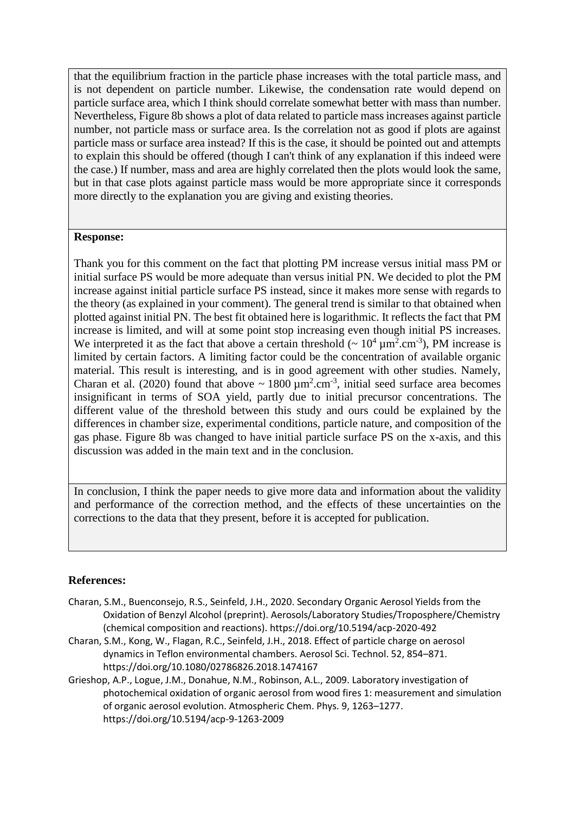that the equilibrium fraction in the particle phase increases with the total particle mass, and is not dependent on particle number. Likewise, the condensation rate would depend on particle surface area, which I think should correlate somewhat better with mass than number. Nevertheless, Figure 8b shows a plot of data related to particle mass increases against particle number, not particle mass or surface area. Is the correlation not as good if plots are against particle mass or surface area instead? If this is the case, it should be pointed out and attempts to explain this should be offered (though I can't think of any explanation if this indeed were the case.) If number, mass and area are highly correlated then the plots would look the same, but in that case plots against particle mass would be more appropriate since it corresponds more directly to the explanation you are giving and existing theories.

### **Response:**

Thank you for this comment on the fact that plotting PM increase versus initial mass PM or initial surface PS would be more adequate than versus initial PN. We decided to plot the PM increase against initial particle surface PS instead, since it makes more sense with regards to the theory (as explained in your comment). The general trend is similar to that obtained when plotted against initial PN. The best fit obtained here is logarithmic. It reflects the fact that PM increase is limited, and will at some point stop increasing even though initial PS increases. We interpreted it as the fact that above a certain threshold ( $\sim 10^4 \,\mathrm{\upmu m^2.cm^{-3}}$ ), PM increase is limited by certain factors. A limiting factor could be the concentration of available organic material. This result is interesting, and is in good agreement with other studies. Namely, Charan et al. (2020) found that above  $\sim 1800 \,\mu\text{m}^2.\text{cm}^{-3}$ , initial seed surface area becomes insignificant in terms of SOA yield, partly due to initial precursor concentrations. The different value of the threshold between this study and ours could be explained by the differences in chamber size, experimental conditions, particle nature, and composition of the gas phase. Figure 8b was changed to have initial particle surface PS on the x-axis, and this discussion was added in the main text and in the conclusion.

In conclusion, I think the paper needs to give more data and information about the validity and performance of the correction method, and the effects of these uncertainties on the corrections to the data that they present, before it is accepted for publication.

### **References:**

- Charan, S.M., Buenconsejo, R.S., Seinfeld, J.H., 2020. Secondary Organic Aerosol Yields from the Oxidation of Benzyl Alcohol (preprint). Aerosols/Laboratory Studies/Troposphere/Chemistry (chemical composition and reactions). https://doi.org/10.5194/acp-2020-492
- Charan, S.M., Kong, W., Flagan, R.C., Seinfeld, J.H., 2018. Effect of particle charge on aerosol dynamics in Teflon environmental chambers. Aerosol Sci. Technol. 52, 854–871. https://doi.org/10.1080/02786826.2018.1474167
- Grieshop, A.P., Logue, J.M., Donahue, N.M., Robinson, A.L., 2009. Laboratory investigation of photochemical oxidation of organic aerosol from wood fires 1: measurement and simulation of organic aerosol evolution. Atmospheric Chem. Phys. 9, 1263–1277. https://doi.org/10.5194/acp-9-1263-2009